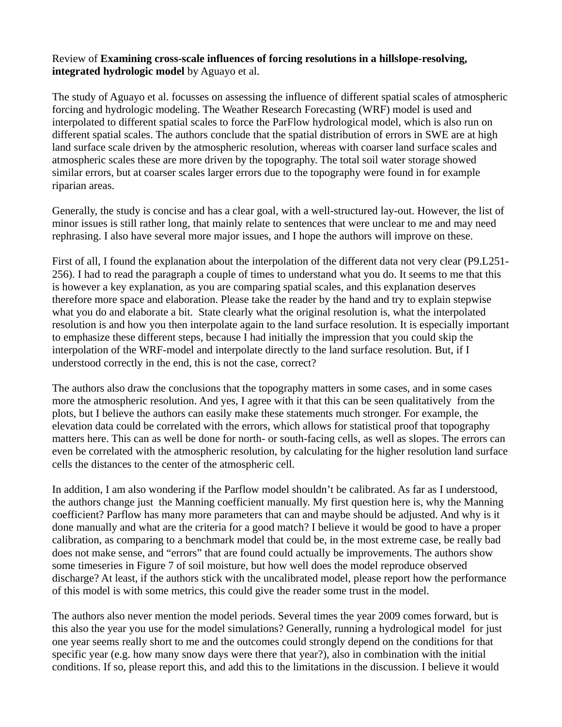## Review of **Examining cross-scale influences of forcing resolutions in a hillslope-resolving, integrated hydrologic model** by Aguayo et al.

The study of Aguayo et al. focusses on assessing the influence of different spatial scales of atmospheric forcing and hydrologic modeling. The Weather Research Forecasting (WRF) model is used and interpolated to different spatial scales to force the ParFlow hydrological model, which is also run on different spatial scales. The authors conclude that the spatial distribution of errors in SWE are at high land surface scale driven by the atmospheric resolution, whereas with coarser land surface scales and atmospheric scales these are more driven by the topography. The total soil water storage showed similar errors, but at coarser scales larger errors due to the topography were found in for example riparian areas.

Generally, the study is concise and has a clear goal, with a well-structured lay-out. However, the list of minor issues is still rather long, that mainly relate to sentences that were unclear to me and may need rephrasing. I also have several more major issues, and I hope the authors will improve on these.

First of all, I found the explanation about the interpolation of the different data not very clear (P9.L251- 256). I had to read the paragraph a couple of times to understand what you do. It seems to me that this is however a key explanation, as you are comparing spatial scales, and this explanation deserves therefore more space and elaboration. Please take the reader by the hand and try to explain stepwise what you do and elaborate a bit. State clearly what the original resolution is, what the interpolated resolution is and how you then interpolate again to the land surface resolution. It is especially important to emphasize these different steps, because I had initially the impression that you could skip the interpolation of the WRF-model and interpolate directly to the land surface resolution. But, if I understood correctly in the end, this is not the case, correct?

The authors also draw the conclusions that the topography matters in some cases, and in some cases more the atmospheric resolution. And yes, I agree with it that this can be seen qualitatively from the plots, but I believe the authors can easily make these statements much stronger. For example, the elevation data could be correlated with the errors, which allows for statistical proof that topography matters here. This can as well be done for north- or south-facing cells, as well as slopes. The errors can even be correlated with the atmospheric resolution, by calculating for the higher resolution land surface cells the distances to the center of the atmospheric cell.

In addition, I am also wondering if the Parflow model shouldn't be calibrated. As far as I understood, the authors change just the Manning coefficient manually. My first question here is, why the Manning coefficient? Parflow has many more parameters that can and maybe should be adjusted. And why is it done manually and what are the criteria for a good match? I believe it would be good to have a proper calibration, as comparing to a benchmark model that could be, in the most extreme case, be really bad does not make sense, and "errors" that are found could actually be improvements. The authors show some timeseries in Figure 7 of soil moisture, but how well does the model reproduce observed discharge? At least, if the authors stick with the uncalibrated model, please report how the performance of this model is with some metrics, this could give the reader some trust in the model.

The authors also never mention the model periods. Several times the year 2009 comes forward, but is this also the year you use for the model simulations? Generally, running a hydrological model for just one year seems really short to me and the outcomes could strongly depend on the conditions for that specific year (e.g. how many snow days were there that year?), also in combination with the initial conditions. If so, please report this, and add this to the limitations in the discussion. I believe it would